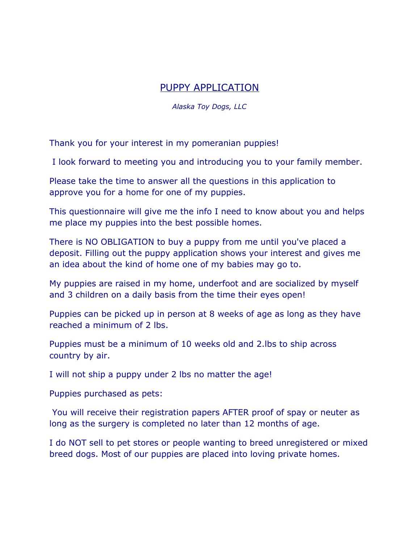## PUPPY APPLICATION

*Alaska Toy Dogs, LLC*

Thank you for your interest in my pomeranian puppies!

I look forward to meeting you and introducing you to your family member.

Please take the time to answer all the questions in this application to approve you for a home for one of my puppies.

This questionnaire will give me the info I need to know about you and helps me place my puppies into the best possible homes.

There is NO OBLIGATION to buy a puppy from me until you've placed a deposit. Filling out the puppy application shows your interest and gives me an idea about the kind of home one of my babies may go to.

My puppies are raised in my home, underfoot and are socialized by myself and 3 children on a daily basis from the time their eyes open!

Puppies can be picked up in person at 8 weeks of age as long as they have reached a minimum of 2 lbs.

Puppies must be a minimum of 10 weeks old and 2.lbs to ship across country by air.

I will not ship a puppy under 2 lbs no matter the age!

Puppies purchased as pets:

 You will receive their registration papers AFTER proof of spay or neuter as long as the surgery is completed no later than 12 months of age.

I do NOT sell to pet stores or people wanting to breed unregistered or mixed breed dogs. Most of our puppies are placed into loving private homes.